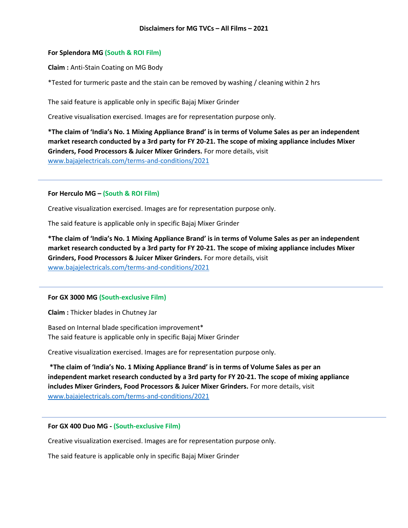## **For Splendora MG (South & ROI Film)**

**Claim :** Anti-Stain Coating on MG Body

\*Tested for turmeric paste and the stain can be removed by washing / cleaning within 2 hrs

The said feature is applicable only in specific Bajaj Mixer Grinder

Creative visualisation exercised. Images are for representation purpose only.

**\*The claim of 'India's No. 1 Mixing Appliance Brand' is in terms of Volume Sales as per an independent market research conducted by a 3rd party for FY 20-21. The scope of mixing appliance includes Mixer Grinders, Food Processors & Juicer Mixer Grinders.** For more details, visit [www.bajajelectricals.com/terms-and-conditions/2021](http://www.bajajelectricals.com/terms-and-conditions/2021)

**For Herculo MG – (South & ROI Film)**

Creative visualization exercised. Images are for representation purpose only.

The said feature is applicable only in specific Bajaj Mixer Grinder

**\*The claim of 'India's No. 1 Mixing Appliance Brand' is in terms of Volume Sales as per an independent market research conducted by a 3rd party for FY 20-21. The scope of mixing appliance includes Mixer Grinders, Food Processors & Juicer Mixer Grinders.** For more details, visit [www.bajajelectricals.com/terms-and-conditions/2021](http://www.bajajelectricals.com/terms-and-conditions/2021)

## **For GX 3000 MG (South-exclusive Film)**

**Claim :** Thicker blades in Chutney Jar

Based on Internal blade specification improvement\* The said feature is applicable only in specific Bajaj Mixer Grinder

Creative visualization exercised. Images are for representation purpose only.

**\*The claim of 'India's No. 1 Mixing Appliance Brand' is in terms of Volume Sales as per an independent market research conducted by a 3rd party for FY 20-21. The scope of mixing appliance includes Mixer Grinders, Food Processors & Juicer Mixer Grinders.** For more details, visit [www.bajajelectricals.com/terms-and-conditions/2021](http://www.bajajelectricals.com/terms-and-conditions/2021)

## **For GX 400 Duo MG - (South-exclusive Film)**

Creative visualization exercised. Images are for representation purpose only.

The said feature is applicable only in specific Bajaj Mixer Grinder